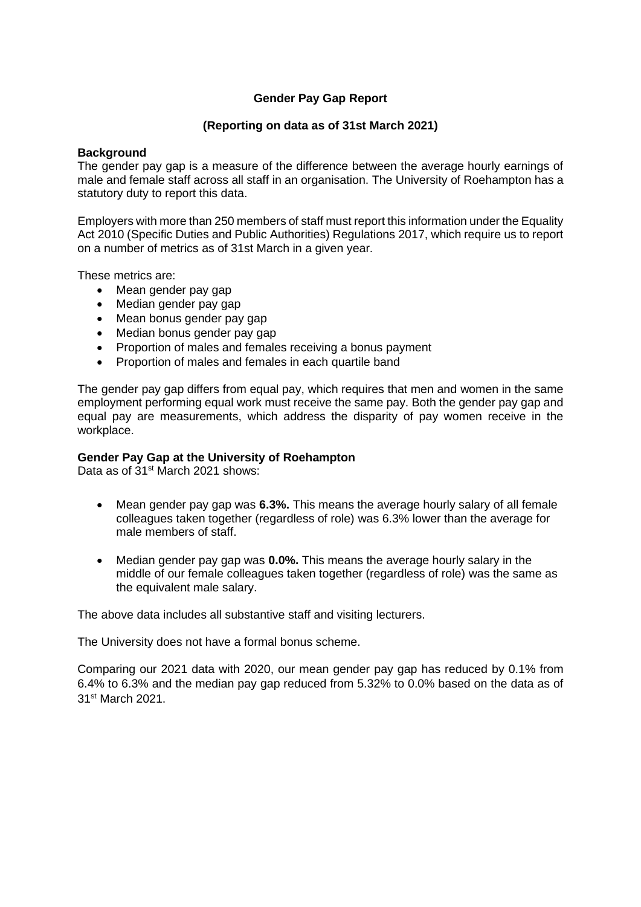# **Gender Pay Gap Report**

### **(Reporting on data as of 31st March 2021)**

#### **Background**

The gender pay gap is a measure of the difference between the average hourly earnings of male and female staff across all staff in an organisation. The University of Roehampton has a statutory duty to report this data.

Employers with more than 250 members of staff must report this information under the Equality Act 2010 (Specific Duties and Public Authorities) Regulations 2017, which require us to report on a number of metrics as of 31st March in a given year.

These metrics are:

- Mean gender pay gap
- Median gender pay gap
- Mean bonus gender pay gap
- Median bonus gender pay gap
- Proportion of males and females receiving a bonus payment
- Proportion of males and females in each quartile band

The gender pay gap differs from equal pay, which requires that men and women in the same employment performing equal work must receive the same pay. Both the gender pay gap and equal pay are measurements, which address the disparity of pay women receive in the workplace.

#### **Gender Pay Gap at the University of Roehampton**

Data as of 31<sup>st</sup> March 2021 shows:

- Mean gender pay gap was **6.3%.** This means the average hourly salary of all female colleagues taken together (regardless of role) was 6.3% lower than the average for male members of staff.
- Median gender pay gap was **0.0%.** This means the average hourly salary in the middle of our female colleagues taken together (regardless of role) was the same as the equivalent male salary.

The above data includes all substantive staff and visiting lecturers.

The University does not have a formal bonus scheme.

Comparing our 2021 data with 2020, our mean gender pay gap has reduced by 0.1% from 6.4% to 6.3% and the median pay gap reduced from 5.32% to 0.0% based on the data as of 31st March 2021.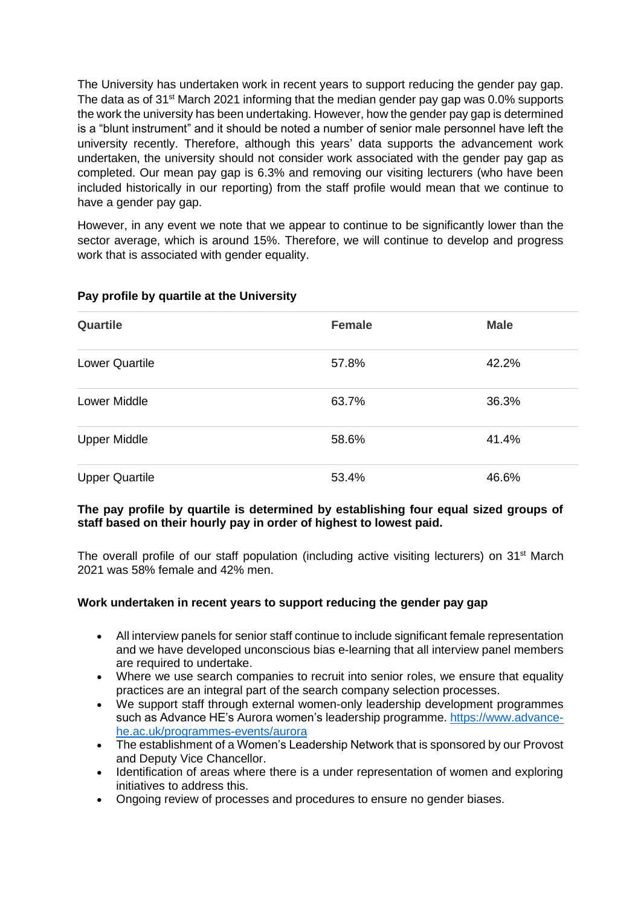The University has undertaken work in recent years to support reducing the gender pay gap. The data as of 31<sup>st</sup> March 2021 informing that the median gender pay gap was 0.0% supports the work the university has been undertaking. However, how the gender pay gap is determined is a "blunt instrument" and it should be noted a number of senior male personnel have left the university recently. Therefore, although this years' data supports the advancement work undertaken, the university should not consider work associated with the gender pay gap as completed. Our mean pay gap is 6.3% and removing our visiting lecturers (who have been included historically in our reporting) from the staff profile would mean that we continue to have a gender pay gap.

However, in any event we note that we appear to continue to be significantly lower than the sector average, which is around 15%. Therefore, we will continue to develop and progress work that is associated with gender equality.

| <b>Quartile</b>       | <b>Female</b> | <b>Male</b> |
|-----------------------|---------------|-------------|
| <b>Lower Quartile</b> | 57.8%         | 42.2%       |
| <b>Lower Middle</b>   | 63.7%         | 36.3%       |
| <b>Upper Middle</b>   | 58.6%         | 41.4%       |
| <b>Upper Quartile</b> | 53.4%         | 46.6%       |

## **Pay profile by quartile at the University**

#### **The pay profile by quartile is determined by establishing four equal sized groups of staff based on their hourly pay in order of highest to lowest paid.**

The overall profile of our staff population (including active visiting lecturers) on  $31<sup>st</sup>$  March 2021 was 58% female and 42% men.

## **Work undertaken in recent years to support reducing the gender pay gap**

- All interview panels for senior staff continue to include significant female representation and we have developed unconscious bias e-learning that all interview panel members are required to undertake.
- Where we use search companies to recruit into senior roles, we ensure that equality practices are an integral part of the search company selection processes.
- We support staff through external women-only leadership development programmes such as Advance HE's Aurora women's leadership programme. [https://www.advance](https://www.advance-he.ac.uk/programmes-events/aurora)[he.ac.uk/programmes-events/aurora](https://www.advance-he.ac.uk/programmes-events/aurora)
- The establishment of a Women's Leadership Network that is sponsored by our Provost and Deputy Vice Chancellor.
- Identification of areas where there is a under representation of women and exploring initiatives to address this.
- Ongoing review of processes and procedures to ensure no gender biases.